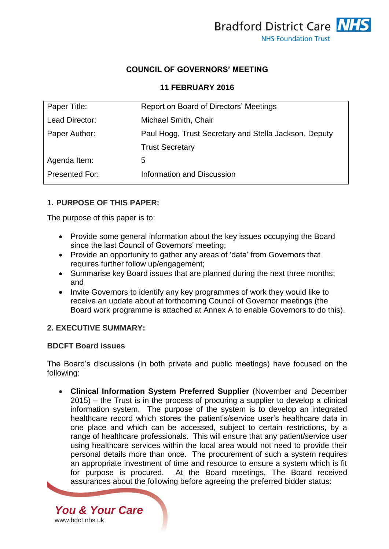

## **COUNCIL OF GOVERNORS' MEETING**

#### **11 FEBRUARY 2016**

| Paper Title:          | Report on Board of Directors' Meetings                |
|-----------------------|-------------------------------------------------------|
| Lead Director:        | Michael Smith, Chair                                  |
| Paper Author:         | Paul Hogg, Trust Secretary and Stella Jackson, Deputy |
|                       | <b>Trust Secretary</b>                                |
| Agenda Item:          | 5                                                     |
| <b>Presented For:</b> | Information and Discussion                            |
|                       |                                                       |

### **1. PURPOSE OF THIS PAPER:**

The purpose of this paper is to:

- Provide some general information about the key issues occupying the Board since the last Council of Governors' meeting;
- Provide an opportunity to gather any areas of 'data' from Governors that requires further follow up/engagement;
- Summarise key Board issues that are planned during the next three months; and
- Invite Governors to identify any key programmes of work they would like to receive an update about at forthcoming Council of Governor meetings (the Board work programme is attached at Annex A to enable Governors to do this).

#### **2. EXECUTIVE SUMMARY:**

*You & Your Care*

[www.bdct.nhs.uk](http://www.bdct.nhs.uk/)

### **BDCFT Board issues**

The Board's discussions (in both private and public meetings) have focused on the following:

 **Clinical Information System Preferred Supplier** (November and December 2015) – the Trust is in the process of procuring a supplier to develop a clinical information system. The purpose of the system is to develop an integrated healthcare record which stores the patient's/service user's healthcare data in one place and which can be accessed, subject to certain restrictions, by a range of healthcare professionals. This will ensure that any patient/service user using healthcare services within the local area would not need to provide their personal details more than once. The procurement of such a system requires an appropriate investment of time and resource to ensure a system which is fit for purpose is procured. At the Board meetings, The Board received assurances about the following before agreeing the preferred bidder status: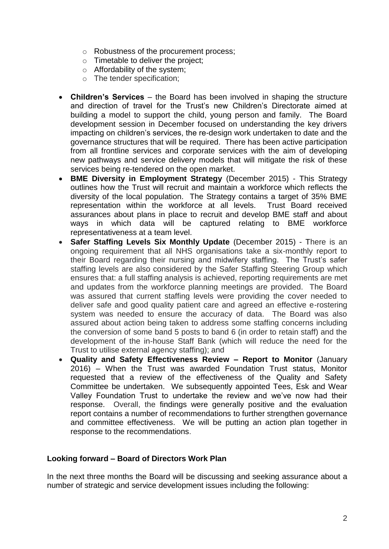- o Robustness of the procurement process;
- o Timetable to deliver the project;
- o Affordability of the system;
- o The tender specification;
- **Children's Services**  the Board has been involved in shaping the structure and direction of travel for the Trust's new Children's Directorate aimed at building a model to support the child, young person and family. The Board development session in December focused on understanding the key drivers impacting on children's services, the re-design work undertaken to date and the governance structures that will be required. There has been active participation from all frontline services and corporate services with the aim of developing new pathways and service delivery models that will mitigate the risk of these services being re-tendered on the open market.
- **BME Diversity in Employment Strategy** (December 2015) This Strategy outlines how the Trust will recruit and maintain a workforce which reflects the diversity of the local population. The Strategy contains a target of 35% BME representation within the workforce at all levels. Trust Board received assurances about plans in place to recruit and develop BME staff and about ways in which data will be captured relating to BME workforce representativeness at a team level.
- **Safer Staffing Levels Six Monthly Update** (December 2015) There is an ongoing requirement that all NHS organisations take a six-monthly report to their Board regarding their nursing and midwifery staffing. The Trust's safer staffing levels are also considered by the Safer Staffing Steering Group which ensures that: a full staffing analysis is achieved, reporting requirements are met and updates from the workforce planning meetings are provided. The Board was assured that current staffing levels were providing the cover needed to deliver safe and good quality patient care and agreed an effective e-rostering system was needed to ensure the accuracy of data. The Board was also assured about action being taken to address some staffing concerns including the conversion of some band 5 posts to band 6 (in order to retain staff) and the development of the in-house Staff Bank (which will reduce the need for the Trust to utilise external agency staffing); and
- **Quality and Safety Effectiveness Review – Report to Monitor** (January 2016) – When the Trust was awarded Foundation Trust status, Monitor requested that a review of the effectiveness of the Quality and Safety Committee be undertaken. We subsequently appointed Tees, Esk and Wear Valley Foundation Trust to undertake the review and we've now had their response. Overall, the findings were generally positive and the evaluation report contains a number of recommendations to further strengthen governance and committee effectiveness. We will be putting an action plan together in response to the recommendations.

### **Looking forward – Board of Directors Work Plan**

In the next three months the Board will be discussing and seeking assurance about a number of strategic and service development issues including the following: